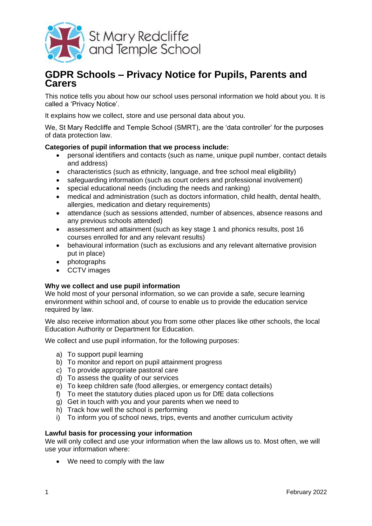

# **GDPR Schools – Privacy Notice for Pupils, Parents and Carers**

This notice tells you about how our school uses personal information we hold about you. It is called a 'Privacy Notice'.

It explains how we collect, store and use personal data about you.

We, St Mary Redcliffe and Temple School (SMRT), are the 'data controller' for the purposes of data protection law.

# **Categories of pupil information that we process include:**

- personal identifiers and contacts (such as name, unique pupil number, contact details and address)
- characteristics (such as ethnicity, language, and free school meal eligibility)
- safeguarding information (such as court orders and professional involvement)
- special educational needs (including the needs and ranking)
- medical and administration (such as doctors information, child health, dental health, allergies, medication and dietary requirements)
- attendance (such as sessions attended, number of absences, absence reasons and any previous schools attended)
- assessment and attainment (such as key stage 1 and phonics results, post 16 courses enrolled for and any relevant results)
- behavioural information (such as exclusions and any relevant alternative provision put in place)
- photographs
- CCTV images

## **Why we collect and use pupil information**

We hold most of your personal information, so we can provide a safe, secure learning environment within school and, of course to enable us to provide the education service required by law.

We also receive information about you from some other places like other schools, the local Education Authority or Department for Education.

We collect and use pupil information, for the following purposes:

- a) To support pupil learning
- b) To monitor and report on pupil attainment progress
- c) To provide appropriate pastoral care
- d) To assess the quality of our services
- e) To keep children safe (food allergies, or emergency contact details)
- f) To meet the statutory duties placed upon us for DfE data collections
- g) Get in touch with you and your parents when we need to
- h) Track how well the school is performing
- i) To inform you of school news, trips, events and another curriculum activity

## **Lawful basis for processing your information**

We will only collect and use your information when the law allows us to. Most often, we will use your information where:

• We need to comply with the law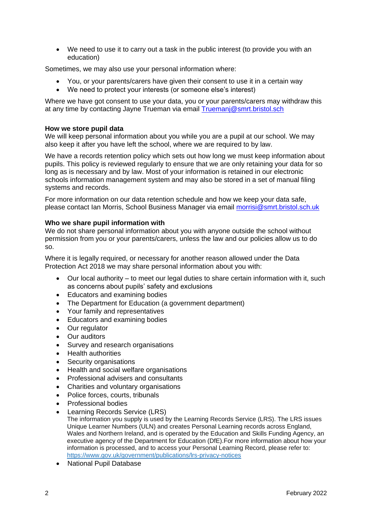We need to use it to carry out a task in the public interest (to provide you with an education)

Sometimes, we may also use your personal information where:

- You, or your parents/carers have given their consent to use it in a certain way
- We need to protect your interests (or someone else's interest)

Where we have got consent to use your data, you or your parents/carers may withdraw this at any time by contacting Jayne Trueman via email [Truemanj@smrt.bristol.sch](mailto:Truemanj@smrt.bristol.sch)

#### **How we store pupil data**

We will keep personal information about you while you are a pupil at our school. We may also keep it after you have left the school, where we are required to by law.

We have a records retention policy which sets out how long we must keep information about pupils. This policy is reviewed regularly to ensure that we are only retaining your data for so long as is necessary and by law. Most of your information is retained in our electronic schools information management system and may also be stored in a set of manual filing systems and records.

For more information on our data retention schedule and how we keep your data safe, please contact Ian Morris, School Business Manager via email [morrisi@smrt.bristol.sch.uk](mailto:morrisi@smrt.bristol.sch.uk)

#### **Who we share pupil information with**

We do not share personal information about you with anyone outside the school without permission from you or your parents/carers, unless the law and our policies allow us to do so.

Where it is legally required, or necessary for another reason allowed under the Data Protection Act 2018 we may share personal information about you with:

- Our local authority to meet our legal duties to share certain information with it, such as concerns about pupils' safety and exclusions
- Educators and examining bodies
- The Department for Education (a government department)
- Your family and representatives
- Educators and examining bodies
- Our regulator
- Our auditors
- Survey and research organisations
- **•** Health authorities
- Security organisations
- Health and social welfare organisations
- Professional advisers and consultants
- Charities and voluntary organisations
- Police forces, courts, tribunals
- Professional bodies
- Learning Records Service (LRS)

The information you supply is used by the Learning Records Service (LRS). The LRS issues Unique Learner Numbers (ULN) and creates Personal Learning records across England, Wales and Northern Ireland, and is operated by the Education and Skills Funding Agency, an executive agency of the Department for Education (DfE).For more information about how your information is processed, and to access your Personal Learning Record, please refer to: <https://www.gov.uk/government/publications/lrs-privacy-notices>

• National Pupil Database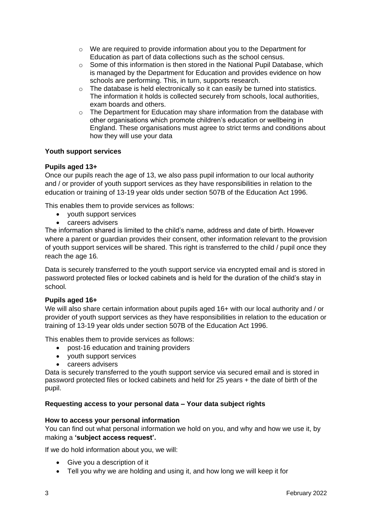- $\circ$  We are required to provide information about you to the Department for Education as part of data collections such as the school census.
- $\circ$  Some of this information is then stored in the [National Pupil Database,](https://www.gov.uk/government/publications/national-pupil-database-user-guide-and-supporting-information) which is managed by the Department for Education and provides evidence on how schools are performing. This, in turn, supports research.
- o The database is held electronically so it can easily be turned into statistics. The information it holds is collected securely from schools, local authorities, exam boards and others.
- $\circ$  The Department for Education may share information from the database with other organisations which promote children's education or wellbeing in England. These organisations must agree to strict terms and conditions about how they will use your data

# **Youth support services**

## **Pupils aged 13+**

Once our pupils reach the age of 13, we also pass pupil information to our local authority and / or provider of youth support services as they have responsibilities in relation to the education or training of 13-19 year olds under section 507B of the Education Act 1996.

This enables them to provide services as follows:

- youth support services
- careers advisers

The information shared is limited to the child's name, address and date of birth. However where a parent or guardian provides their consent, other information relevant to the provision of youth support services will be shared. This right is transferred to the child / pupil once they reach the age 16*.*

Data is securely transferred to the youth support service via encrypted email and is stored in password protected files or locked cabinets and is held for the duration of the child's stay in school*.*

## **Pupils aged 16+**

We will also share certain information about pupils aged 16+ with our local authority and / or provider of youth support services as they have responsibilities in relation to the education or training of 13-19 year olds under section 507B of the Education Act 1996.

This enables them to provide services as follows:

- post-16 education and training providers
- youth support services
- careers advisers

Data is securely transferred to the youth support service via secured email and is stored in password protected files or locked cabinets and held for 25 years + the date of birth of the pupil.

# **Requesting access to your personal data – Your data subject rights**

## **How to access your personal information**

You can find out what personal information we hold on you, and why and how we use it, by making a **'subject access request'.**

If we do hold information about you, we will:

- Give you a description of it
- Tell you why we are holding and using it, and how long we will keep it for